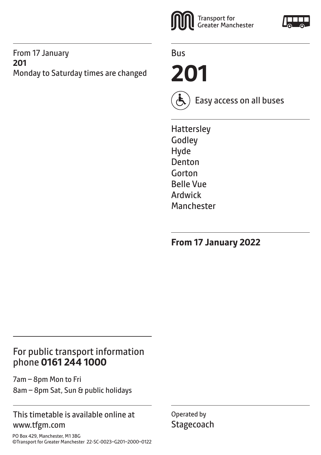#### From 17 January **201** Monday to Saturday times are changed



Bus

**201**



Easy access on all buses

**Hattersley** Godley Hyde Denton Gorton Belle Vue Ardwick **Manchester** 

**From 17 January 2022**

## For public transport information phone **0161 244 1000**

7am – 8pm Mon to Fri 8am – 8pm Sat, Sun & public holidays

#### This timetable is available online at www.tfgm.com

PO Box 429, Manchester, M1 3BG ©Transport for Greater Manchester 22-SC-0023–G201–2000–0122 Operated by **Stagecoach**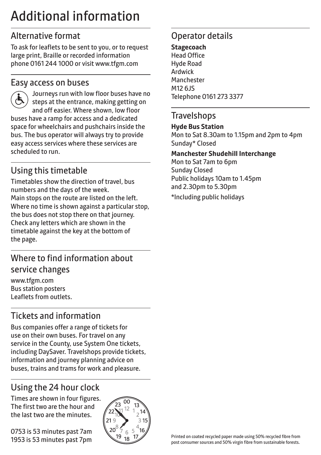## Additional information

## Alternative format

To ask for leaflets to be sent to you, or to request large print, Braille or recorded information phone 0161 244 1000 or visit www.tfgm.com

#### Easy access on buses



 Journeys run with low floor buses have no steps at the entrance, making getting on and off easier. Where shown, low floor buses have a ramp for access and a dedicated space for wheelchairs and pushchairs inside the bus. The bus operator will always try to provide easy access services where these services are scheduled to run.

## Using this timetable

Timetables show the direction of travel, bus numbers and the days of the week. Main stops on the route are listed on the left. Where no time is shown against a particular stop, the bus does not stop there on that journey. Check any letters which are shown in the timetable against the key at the bottom of the page.

## Where to find information about service changes

www.tfgm.com Bus station posters Leaflets from outlets.

## Tickets and information

Bus companies offer a range of tickets for use on their own buses. For travel on any service in the County, use System One tickets, including DaySaver. Travelshops provide tickets, information and journey planning advice on buses, trains and trams for work and pleasure.

## Using the 24 hour clock

Times are shown in four figures. The first two are the hour and the last two are the minutes.

0753 is 53 minutes past 7am 1953 is 53 minutes past 7pm



## Operator details

#### **Stagecoach** Head Office Hyde Road Ardwick

**Manchester M12 6 IS** Telephone 0161 273 3377

#### **Travelshops**

#### **Hyde Bus Station**

Mon to Sat 8.30am to 1.15pm and 2pm to 4pm Sunday\* Closed

#### **Manchester Shudehill Interchange**

Mon to Sat 7am to 6pm Sunday Closed Public holidays 10am to 1.45pm and 2.30pm to 5.30pm \*Including public holidays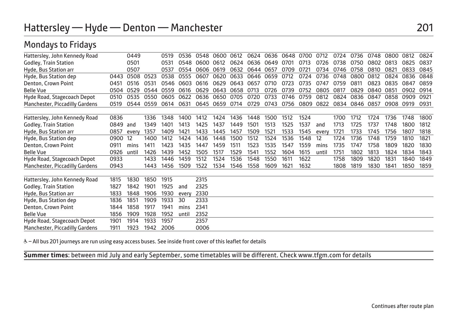## Hattersley — Hyde — Denton — Manchester 201

## Mondays to Fridays

| Hattersley, John Kennedy Road  |      | 0449  |      | 0519 | 0536  | 0548 | 0600 | 0612 | 0624      | 0636 | 0648 | 0700 | 0712  | 0724 | 0736 | 0748 | 0800 | 0812 | 0824 |
|--------------------------------|------|-------|------|------|-------|------|------|------|-----------|------|------|------|-------|------|------|------|------|------|------|
| Godley, Train Station          |      | 0501  |      | 0531 | 0548  | 0600 | 0612 | 0624 | 0636      | 0649 | 0701 | 0713 | 0726  | 0738 | 0750 | 0802 | 0813 | 0825 | 0837 |
| Hyde, Bus Station arr          |      | 0507  |      | 0537 | 0554  | 0606 | 0619 | 0632 | 0644 0657 |      | 0709 | 0721 | 0734  | 0746 | 0758 | 0810 | 0821 | 0833 | 0845 |
| Hyde, Bus Station dep          | 0443 | 0508  | 0523 | 0538 | 0555  | 0607 | 0620 | 0633 | 0646      | 0659 | 0712 | 0724 | 0736  | 0748 | 0800 | 0812 | 0824 | 0836 | 0848 |
| Denton, Crown Point            | 0451 | 0516  | 0531 | 0546 | 0603  | 0616 | 0629 | 0643 | 0657      | 0710 | 0723 | 0735 | 0747  | 0759 | 0811 | 0823 | 0835 | 0847 | 0859 |
| <b>Belle Vue</b>               | 0504 | 0529  | 0544 | 0559 | 0616  | 0629 | 0643 | 0658 | 0713      | 0726 | 0739 | 0752 | 0805  | 0817 | 0829 | 0840 | 0851 | 0902 | 0914 |
| Hyde Road, Stagecoach Depot    | 0510 | 0535  | 0550 | 0605 | 0622  | 0636 | 0650 | 0705 | 0720      | 0733 | 0746 | 0759 | 0812  | 0824 | 0836 | 0847 | 0858 | 0909 | 0921 |
| Manchester, Piccadilly Gardens | 0519 | 0544  | 0559 | 0614 | 0631  | 0645 | 0659 | 0714 | 0729      | 0743 | 0756 | 0809 | 0822  | 0834 | 0846 | 0857 | 0908 | 0919 | 0931 |
|                                |      |       |      |      |       |      |      |      |           |      |      |      |       |      |      |      |      |      |      |
| Hattersley, John Kennedy Road  | 0836 |       | 1336 | 1348 | 1400  | 1412 | 1424 | 1436 | 1448      | 1500 | 1512 | 1524 |       | 1700 | 1712 | 1724 | 1736 | 1748 | 1800 |
| Godley, Train Station          | 0849 | and   | 1349 | 1401 | 1413  | 1425 | 1437 | 1449 | 1501      | 1513 | 1525 | 1537 | and   | 1713 | 1725 | 1737 | 1748 | 1800 | 1812 |
| Hyde, Bus Station arr          | 0857 | every | 1357 | 1409 | 1421  | 1433 | 1445 | 1457 | 1509      | 1521 | 1533 | 1545 | every | 1721 | 1733 | 1745 | 1756 | 1807 | 1818 |
| Hyde, Bus Station dep          | 0900 | 12    | 1400 | 1412 | 1424  | 1436 | 1448 | 1500 | 1512      | 1524 | 1536 | 1548 | 12    | 1724 | 1736 | 1748 | 1759 | 1810 | 1821 |
| Denton, Crown Point            | 0911 | mins  | 1411 | 1423 | 1435  | 1447 | 1459 | 1511 | 1523      | 1535 | 1547 | 1559 | mins  | 1735 | 1747 | 1758 | 1809 | 1820 | 1830 |
| <b>Belle Vue</b>               | 0926 | until | 1426 | 1439 | 1452  | 1505 | 1517 | 1529 | 1541      | 1552 | 1604 | 1615 | until | 1751 | 1802 | 1813 | 1824 | 1834 | 1843 |
| Hyde Road, Stagecoach Depot    | 0933 |       | 1433 | 1446 | 1459  | 1512 | 1524 | 1536 | 1548      | 1550 | 1611 | 1622 |       | 1758 | 1809 | 1820 | 1831 | 1840 | 1849 |
| Manchester, Piccadilly Gardens | 0943 |       | 1443 | 1456 | 1509  | 1522 | 1534 | 1546 | 1558      | 1609 | 1621 | 1632 |       | 1808 | 1819 | 1830 | 1841 | 1850 | 1859 |
|                                |      |       |      |      |       |      |      |      |           |      |      |      |       |      |      |      |      |      |      |
| Hattersley, John Kennedy Road  | 1815 | 1830  | 1850 | 1915 |       | 2315 |      |      |           |      |      |      |       |      |      |      |      |      |      |
| Godley, Train Station          | 1827 | 1842  | 1901 | 1925 | and   | 2325 |      |      |           |      |      |      |       |      |      |      |      |      |      |
| Hyde, Bus Station arr          | 1833 | 1848  | 1906 | 1930 | every | 2330 |      |      |           |      |      |      |       |      |      |      |      |      |      |
| Hyde, Bus Station dep          | 1836 | 1851  | 1909 | 1933 | 30    | 2333 |      |      |           |      |      |      |       |      |      |      |      |      |      |
| Denton, Crown Point            | 1844 | 1858  | 1917 | 1941 | mins  | 2341 |      |      |           |      |      |      |       |      |      |      |      |      |      |
| <b>Belle Vue</b>               | 1856 | 1909  | 1928 | 1952 | until | 2352 |      |      |           |      |      |      |       |      |      |      |      |      |      |
| Hyde Road, Stagecoach Depot    | 1901 | 1914  | 1933 | 1957 |       | 2357 |      |      |           |      |      |      |       |      |      |      |      |      |      |
| Manchester, Piccadilly Gardens | 1911 | 1923  | 1942 | 2006 |       | 0006 |      |      |           |      |      |      |       |      |      |      |      |      |      |
|                                |      |       |      |      |       |      |      |      |           |      |      |      |       |      |      |      |      |      |      |

& - All bus 201 journeys are run using easy access buses. See inside front cover of this leaflet for details

L **Summer times**: between mid July and early September, some timetables will be different. Check www.tfgm.com for details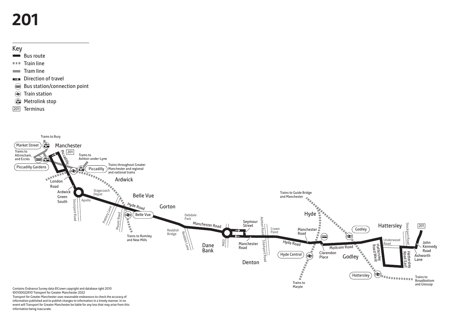# **201**



- Bus route
- $T = T$ Train line
- $\equiv$  Tram line
- Direction of travel
- Bus station/connection point
- </u> Train station
- **Metrolink stop**
- 201 Terminus



information published and to publish changes to information in a timely manner. In no

event will Transport for Greater Manchester be liable for any loss that may arise from this information being inaccurate.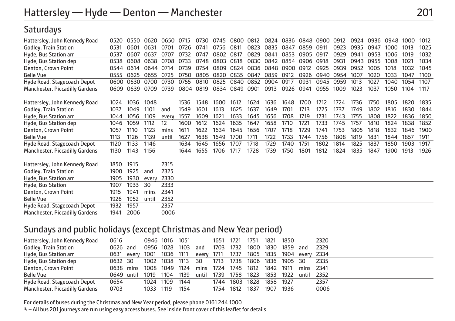#### **Saturdays**

| Hattersley, John Kennedy Road  | 0520 | 0550 | 0620  | 0650  | 0715 | 0730 | 0745 | 0800 | 0812 | 0824 | 0836 | 0848 | 0900 | 0912 | 0924 | 0936 | 0948 | 1000 | 1012 |
|--------------------------------|------|------|-------|-------|------|------|------|------|------|------|------|------|------|------|------|------|------|------|------|
| Godley, Train Station          | 0531 | 0601 | 0631  | 0701  | 0726 | 0741 | 0756 | 0811 | 0823 | 0835 | 0847 | 0859 | 0911 | 0923 | 0935 | 0947 | 1000 | 1013 | 1025 |
| Hyde, Bus Station arr          | 0537 | 0607 | 0637  | 0707  | 0732 | 0747 | 0802 | 0817 | 0829 | 0841 | 0853 | 0905 | 0917 | 0929 | 0941 | 0953 | 1006 | 1019 | 1032 |
| Hyde, Bus Station dep          | 0538 | 0608 | 0638  | 0708  | 0733 | 0748 | 0803 | 0818 | 0830 | 0842 | 0854 | 0906 | 0918 | 0931 | 0943 | 0955 | 1008 | 1021 | 1034 |
| Denton, Crown Point            | 0544 | 0614 | 0644  | 0714  | 0739 | 0754 | 0809 | 0824 | 0836 | 0848 | 0900 | 0912 | 0925 | 0939 | 0952 | 1005 | 1018 | 1032 | 1045 |
| <b>Belle Vue</b>               | 0555 | 0625 | 0655  | 0725  | 0750 | 0805 | 0820 | 0835 | 0847 | 0859 | 0912 | 0926 | 0940 | 0954 | 1007 | 1020 | 1033 | 1047 | 1100 |
| Hyde Road, Stagecoach Depot    | 0600 | 0630 | 0700  | 0730  | 0755 | 0810 | 0825 | 0840 | 0852 | 0904 | 0917 | 0931 | 0945 | 0959 | 1013 | 1027 | 1040 | 1054 | 1107 |
| Manchester, Piccadilly Gardens | 0609 | 0639 | 0709  | 0739  | 0804 | 0819 | 0834 | 0849 | 0901 | 0913 | 0926 | 0941 | 0955 | 1009 | 1023 | 1037 | 1050 | 1104 | 1117 |
| Hattersley, John Kennedy Road  | 1024 | 1036 | 1048  |       | 1536 | 1548 | 1600 | 1612 | 1624 | 1636 | 1648 | 1700 | 1712 | 1724 | 1736 | 1750 | 1805 | 1820 | 1835 |
| Godley, Train Station          | 1037 | 1049 | 1101  | and   | 1549 | 1601 | 1613 | 1625 | 1637 | 1649 | 1701 | 1713 | 1725 | 1737 | 1749 | 1802 | 1816 | 1830 | 1844 |
| Hyde, Bus Station arr          | 1044 | 1056 | 1109  | every | 1557 | 1609 | 1621 | 1633 | 1645 | 1656 | 1708 | 1719 | 1731 | 1743 | 1755 | 1808 | 1822 | 1836 | 1850 |
| Hyde, Bus Station dep          | 1046 | 1059 | 1112  | 12    | 1600 | 1612 | 1624 | 1635 | 1647 | 1658 | 1710 | 1721 | 1733 | 1745 | 1757 | 1810 | 1824 | 1838 | 1852 |
| Denton, Crown Point            | 1057 | 1110 | 1123  | mins  | 1611 | 1622 | 1634 | 1645 | 1656 | 1707 | 1718 | 1729 | 1741 | 1753 | 1805 | 1818 | 1832 | 1846 | 1900 |
| <b>Belle Vue</b>               | 1113 | 1126 | 1139  | unti  | 1627 | 1638 | 1649 | 1700 | 1711 | 1722 | 1733 | 1744 | 1756 | 1808 | 1819 | 1831 | 1844 | 1857 | 1911 |
| Hyde Road, Stagecoach Depot    | 1120 | 1133 | 1146  |       | 1634 | 1645 | 1656 | 1707 | 1718 | 1729 | 1740 | 1751 | 1802 | 1814 | 1825 | 1837 | 1850 | 1903 | 1917 |
| Manchester, Piccadilly Gardens | 1130 | 1143 | 1156  |       | 1644 | 1655 | 1706 | 1717 | 1728 | 1739 | 1750 | 1801 | 1812 | 1824 | 1835 | 1847 | 1900 | 1913 | 1926 |
| Hattersley, John Kennedy Road  | 1850 | 1915 |       | 2315  |      |      |      |      |      |      |      |      |      |      |      |      |      |      |      |
| Godley, Train Station          | 1900 | 1925 | and   | 2325  |      |      |      |      |      |      |      |      |      |      |      |      |      |      |      |
| Hyde, Bus Station arr          | 1905 | 1930 | every | 2330  |      |      |      |      |      |      |      |      |      |      |      |      |      |      |      |
| Hyde, Bus Station              | 1907 | 1933 | 30    | 2333  |      |      |      |      |      |      |      |      |      |      |      |      |      |      |      |
| Denton, Crown Point            | 1915 | 1941 | mins  | 2341  |      |      |      |      |      |      |      |      |      |      |      |      |      |      |      |
| <b>Belle Vue</b>               | 1926 | 1952 | until | 2352  |      |      |      |      |      |      |      |      |      |      |      |      |      |      |      |
| Hyde Road, Stagecoach Depot    | 1932 | 1957 |       | 2357  |      |      |      |      |      |      |      |      |      |      |      |      |      |      |      |
| Manchester, Piccadilly Gardens | 1941 | 2006 |       | 0006  |      |      |      |      |      |      |      |      |      |      |      |      |      |      |      |

#### Sundays and public holidays (except Christmas and New Year period)

| Hattersley, John Kennedy Road  | 0616       |           |                           | 0946 1016 1051 |      |       | 1651 | 1721 | 1751                           | 1821      | 1850 |            | 2320   |  |
|--------------------------------|------------|-----------|---------------------------|----------------|------|-------|------|------|--------------------------------|-----------|------|------------|--------|--|
| Godley, Train Station          | 0626 and   |           |                           | 0956 1028 1103 |      | and   | 1703 | 1732 |                                | 1800 1830 | 1859 | and        | 2329   |  |
| Hyde, Bus Station arr          |            |           | 0631 every 1001 1036 1111 |                |      | every | 1711 |      | 1737 1805 1835 1904 every 2334 |           |      |            |        |  |
| Hyde, Bus Station dep          | 0632 30    |           |                           | 1002 1038 1113 |      | 30    | 1713 | 1738 | 1806 1836 1905 30              |           |      |            | - 2335 |  |
| Denton, Crown Point            |            | 0638 mins | 1008 1049 1124            |                |      | mins  | 1724 |      | 1745 1812 1842 1911            |           |      | mins 2341  |        |  |
| Belle Vue                      | 0649 until |           | 1019                      | 1104           | 1139 | until | 1739 | 1758 | 1823                           | 1853 1922 |      | until 2352 |        |  |
| Hyde Road, Stagecoach Depot    | 0654       |           | 1024                      | 1109           | 1144 |       | 1744 | 1803 | 1828                           | 1858 1927 |      |            | 2357   |  |
| Manchester, Piccadilly Gardens | 0703       |           | 1033 1119                 |                | 1154 |       | 1754 | 1812 | 1837                           | 1907      | 1936 |            | 0006   |  |
|                                |            |           |                           |                |      |       |      |      |                                |           |      |            |        |  |

For details of buses during the Christmas and New Year period, please phone 0161 244 1000

& - All bus 201 journeys are run using easy access buses. See inside front cover of this leaflet for details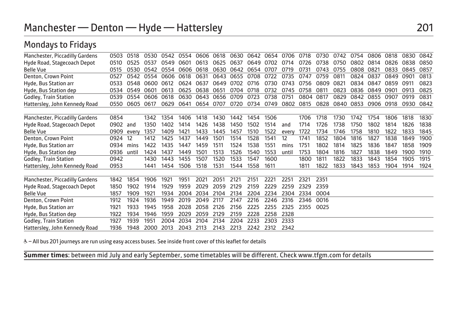## Manchester — Denton — Hyde — Hattersley 201

#### Mondays to Fridays Manchester, Piccadilly Gardens 0503 0518 0530 0542 0554 0606 0618 0630 0642 0654 0706 0718 0730 0742 0754 0806 0818 0830 0842 0510 0525 0537 0549 0601 0613 0625 0637 0649 0702 0714 0726 0738 0750 0802 0814 0826 0838 0850 Belle Vue 0515 0530 0542 0554 0606 0618 0630 0642 0654 0707 0719 0731 0743 0755 0808 0821 0833 0845 0857 Denton, Crown Point 0527 0542 0554 0606 0618 0631 0643 0655 0708 0722 0735 0747 0759 0811 0824 0837 0849 0901 0813 Hyde, Bus Station arr 0533 0548 0600 0612 0624 0637 0649 0702 0716 0730 0743 0756 0809 0821 0834 0847 0859 0911 0823 Hyde, Bus Station dep 0534 0549 0601 0613 0625 0638 0651 0704 0718 0732 0745 0758 0811 0823 0836 0849 0901 0913 0825 Godley, Train Station 0539 0554 0606 0618 0630 0643 0656 0709 0723 0738 0751 0804 0817 0829 0842 0855 0907 0919 0831 0550 0605 0617 0629 0641 0654 0707 0720 0734 0749 0802 0815 0828 0840 0853 0906 0918 0930 0842 Manchester, Piccadilly Gardens 0854 1342 1354 1406 1418 1430 1442 1454 1506 1706 1718 1730 1742 1754 1806 1818 1830 Hyde Road, Stagecoach Depot 0902 and 1350 1402 1414 1426 1438 1450 1502 1514 and 1714 1726 1738 1750 1802 1814 1826 1838 Belle Vue 0909 every 1357 1409 1421 1433 1445 1457 1510 1522 every 1722 1734 1746 1758 1810 1822 1833 1845 Denton, Crown Point 0924 12 1412 1425 1437 1449 1501 1514 1528 1541 12 1741 1852 1804 1816 1827 1838 1849 1900 Hyde, Bus Station arr 0934 mins 1422 1435 1447 1459 1511 1524 1538 1551 mins 1751 1802 1814 1825 1836 1847 1858 1909 Hyde, Bus Station dep 0936 until 1424 1437 1449 1501 1513 1526 1540 1553 until 1753 1804 1816 1827 1838 1849 1900 1910 Godley, Train Station **1942** 1430 1443 1455 1507 1520 1533 1547 1600 1810 1811 1822 1833 1843 1854 1905 1915 191<br>Hatterslev. John Kennedy Road 0953 1441 1454 1506 1518 1531 1544 1558 1611 1811 1822 1833 1843 1853 1904 1914 Hattersley, John Kennedy Road 0953 1441 1454 1506 1518 1531 1544 1558 1611 1811 1822 1833 1843 1853 1904 1914 1924 Manchester, Piccadilly Gardens 1842 1854 1906 1921 1951 2021 2051 2121 2151 2221 2251 2321 2351 Hyde Road, Stagecoach Depot 1850 1902 1914 1929 1959 2029 2059 2129 2159 2229 2259 2329 2359 Belle Vue 1857 1909 1921 1934 2004 2034 2104 2134 2204 2234 2304 2334 0004<br>Denton Crown Point 1912 1924 1936 1949 2019 2049 2117 2147 2216 2246 2316 2346 0016 Denton, Crown Point 1912 1924 1936 1949 2019 2049 2117 2147 2216 2246 2316 2346 0016 Hyde, Bus Station arr 1921 1933 1945 1958 2028 2058 2126 2156 2225 2255 2325 2355 0025 Hyde, Bus Station dep 1922 1934 1946 1959 2029 2059 2129 2159 2228 2258 2328 Godley, Train Station 1927 1939 1951 2004 2034 2104 2134 2204 2134 2204 2134 2204 2134 2213 Hattersley, John Kennedy Road 1936 1948 2000 2013 2043 2113 2143 2213 2242 2312 2342

W– All bus 201 journeys are run using easy access buses. See inside front cover of this leaflet for details

L **Summer times**: between mid July and early September, some timetables will be different. Check www.tfgm.com for details